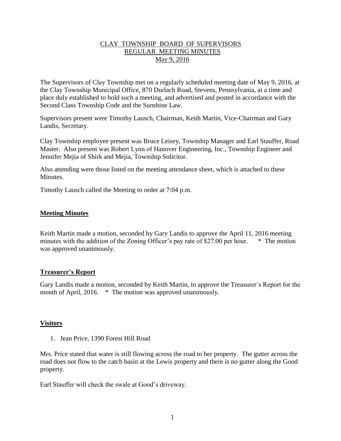## CLAY TOWNSHIP BOARD OF SUPERVISORS REGULAR MEETING MINUTES May 9, 2016

The Supervisors of Clay Township met on a regularly scheduled meeting date of May 9, 2016, at the Clay Township Municipal Office, 870 Durlach Road, Stevens, Pennsylvania, at a time and place duly established to hold such a meeting, and advertised and posted in accordance with the Second Class Township Code and the Sunshine Law.

Supervisors present were Timothy Lausch, Chairman, Keith Martin, Vice-Chairman and Gary Landis, Secretary.

Clay Township employee present was Bruce Leisey, Township Manager and Earl Stauffer, Road Master. Also present was Robert Lynn of Hanover Engineering, Inc., Township Engineer and Jennifer Mejia of Shirk and Mejia, Township Solicitor.

Also attending were those listed on the meeting attendance sheet, which is attached to these **Minutes** 

Timothy Lausch called the Meeting to order at 7:04 p.m.

#### **Meeting Minutes**

Keith Martin made a motion, seconded by Gary Landis to approve the April 11, 2016 meeting minutes with the addition of the Zoning Officer's pay rate of \$27.00 per hour. \* The motion was approved unanimously.

#### **Treasurer's Report**

Gary Landis made a motion, seconded by Keith Martin, to approve the Treasurer's Report for the month of April, 2016. \* The motion was approved unanimously.

#### **Visitors**

1. Jean Price, 1390 Forest Hill Road

Mrs. Price stated that water is still flowing across the road to her property. The gutter across the road does not flow to the catch basin at the Lewis property and there is no gutter along the Good property.

Earl Stauffer will check the swale at Good's driveway.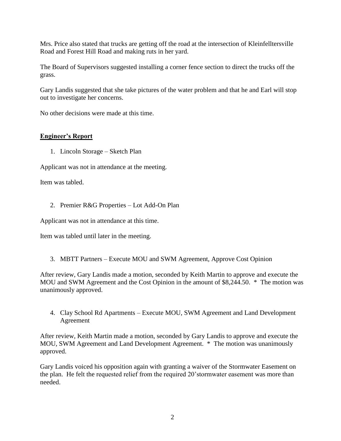Mrs. Price also stated that trucks are getting off the road at the intersection of Kleinfelltersville Road and Forest Hill Road and making ruts in her yard.

The Board of Supervisors suggested installing a corner fence section to direct the trucks off the grass.

Gary Landis suggested that she take pictures of the water problem and that he and Earl will stop out to investigate her concerns.

No other decisions were made at this time.

# **Engineer's Report**

1. Lincoln Storage – Sketch Plan

Applicant was not in attendance at the meeting.

Item was tabled.

2. Premier R&G Properties – Lot Add-On Plan

Applicant was not in attendance at this time.

Item was tabled until later in the meeting.

3. MBTT Partners – Execute MOU and SWM Agreement, Approve Cost Opinion

After review, Gary Landis made a motion, seconded by Keith Martin to approve and execute the MOU and SWM Agreement and the Cost Opinion in the amount of \$8,244.50. \* The motion was unanimously approved.

4. Clay School Rd Apartments – Execute MOU, SWM Agreement and Land Development Agreement

After review, Keith Martin made a motion, seconded by Gary Landis to approve and execute the MOU, SWM Agreement and Land Development Agreement. \* The motion was unanimously approved.

Gary Landis voiced his opposition again with granting a waiver of the Stormwater Easement on the plan. He felt the requested relief from the required 20'stormwater easement was more than needed.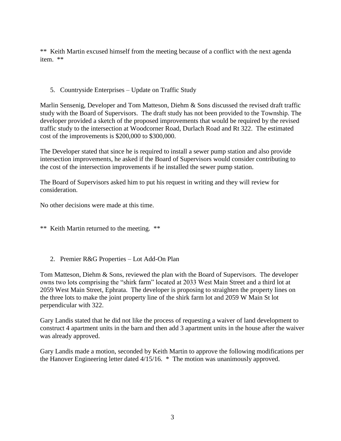\*\* Keith Martin excused himself from the meeting because of a conflict with the next agenda item. \*\*

# 5. Countryside Enterprises – Update on Traffic Study

Marlin Sensenig, Developer and Tom Matteson, Diehm & Sons discussed the revised draft traffic study with the Board of Supervisors. The draft study has not been provided to the Township. The developer provided a sketch of the proposed improvements that would be required by the revised traffic study to the intersection at Woodcorner Road, Durlach Road and Rt 322. The estimated cost of the improvements is \$200,000 to \$300,000.

The Developer stated that since he is required to install a sewer pump station and also provide intersection improvements, he asked if the Board of Supervisors would consider contributing to the cost of the intersection improvements if he installed the sewer pump station.

The Board of Supervisors asked him to put his request in writing and they will review for consideration.

No other decisions were made at this time.

\*\* Keith Martin returned to the meeting. \*\*

2. Premier R&G Properties – Lot Add-On Plan

Tom Matteson, Diehm & Sons, reviewed the plan with the Board of Supervisors. The developer owns two lots comprising the "shirk farm" located at 2033 West Main Street and a third lot at 2059 West Main Street, Ephrata. The developer is proposing to straighten the property lines on the three lots to make the joint property line of the shirk farm lot and 2059 W Main St lot perpendicular with 322.

Gary Landis stated that he did not like the process of requesting a waiver of land development to construct 4 apartment units in the barn and then add 3 apartment units in the house after the waiver was already approved.

Gary Landis made a motion, seconded by Keith Martin to approve the following modifications per the Hanover Engineering letter dated 4/15/16. \* The motion was unanimously approved.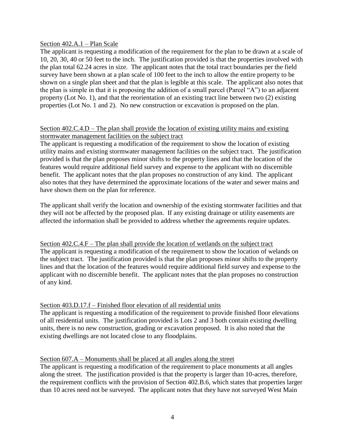#### Section 402.A.1 – Plan Scale

The applicant is requesting a modification of the requirement for the plan to be drawn at a scale of 10, 20, 30, 40 or 50 feet to the inch. The justification provided is that the properties involved with the plan total 62.24 acres in size. The applicant notes that the total tract boundaries per the field survey have been shown at a plan scale of 100 feet to the inch to allow the entire property to be shown on a single plan sheet and that the plan is legible at this scale. The applicant also notes that the plan is simple in that it is proposing the addition of a small parcel (Parcel "A") to an adjacent property (Lot No. 1), and that the reorientation of an existing tract line between two (2) existing properties (Lot No. 1 and 2). No new construction or excavation is proposed on the plan.

## Section 402.C.4.D – The plan shall provide the location of existing utility mains and existing stormwater management facilities on the subject tract

The applicant is requesting a modification of the requirement to show the location of existing utility mains and existing stormwater management facilities on the subject tract. The justification provided is that the plan proposes minor shifts to the property lines and that the location of the features would require additional field survey and expense to the applicant with no discernible benefit. The applicant notes that the plan proposes no construction of any kind. The applicant also notes that they have determined the approximate locations of the water and sewer mains and have shown them on the plan for reference.

The applicant shall verify the location and ownership of the existing stormwater facilities and that they will not be affected by the proposed plan. If any existing drainage or utility easements are affected the information shall be provided to address whether the agreements require updates.

### Section 402.C.4.F – The plan shall provide the location of wetlands on the subject tract The applicant is requesting a modification of the requirement to show the location of welands on the subject tract. The justification provided is that the plan proposes minor shifts to the property lines and that the location of the features would require additional field survey and expense to the applicant with no discernible benefit. The applicant notes that the plan proposes no construction of any kind.

# Section 403.D.17.f – Finished floor elevation of all residential units

The applicant is requesting a modification of the requirement to provide finished floor elevations of all residential units. The justification provided is Lots 2 and 3 both contain existing dwelling units, there is no new construction, grading or excavation proposed. It is also noted that the existing dwellings are not located close to any floodplains.

# Section 607.A – Monuments shall be placed at all angles along the street

The applicant is requesting a modification of the requirement to place monuments at all angles along the street. The justification provided is that the property is larger than 10-acres, therefore, the requirement conflicts with the provision of Section 402.B.6, which states that properties larger than 10 acres need not be surveyed. The applicant notes that they have not surveyed West Main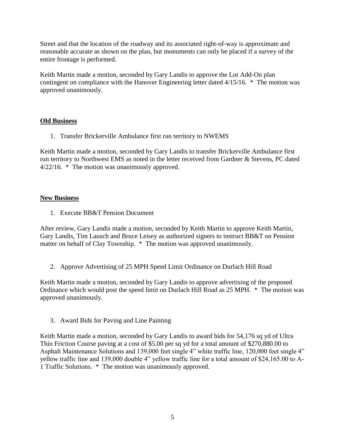Street and that the location of the roadway and its associated right-of-way is approximate and reasonable accurate as shown on the plan, but monuments can only be placed if a survey of the entire frontage is performed.

Keith Martin made a motion, seconded by Gary Landis to approve the Lot Add-On plan contingent on compliance with the Hanover Engineering letter dated 4/15/16. \* The motion was approved unanimously.

# **Old Business**

1. Transfer Brickerville Ambulance first run territory to NWEMS

Keith Martin made a motion, seconded by Gary Landis to transfer Brickerville Ambulance first run territory to Northwest EMS as noted in the letter received from Gardner & Stevens, PC dated 4/22/16. \* The motion was unanimously approved.

# **New Business**

1. Execute BB&T Pension Document

After review, Gary Landis made a motion, seconded by Keith Martin to approve Keith Martin, Gary Landis, Tim Lausch and Bruce Leisey as authorized signers to instruct BB&T on Pension matter on behalf of Clay Township. \* The motion was approved unanimously.

2. Approve Advertising of 25 MPH Speed Limit Ordinance on Durlach Hill Road

Keith Martin made a motion, seconded by Gary Landis to approve advertising of the proposed Ordinance which would post the speed limit on Durlach Hill Road as 25 MPH. \* The motion was approved unanimously.

3. Award Bids for Paving and Line Painting

Keith Martin made a motion, seconded by Gary Landis to award bids for 54,176 sq yd of Ultra Thin Friction Course paving at a cost of \$5.00 per sq yd for a total amount of \$270,880.00 to Asphalt Maintenance Solutions and 139,000 feet single 4" white traffic line, 120,000 feet single 4" yellow traffic line and 139,000 double 4" yellow traffic line for a total amount of \$24,165.00 to A-1 Traffic Solutions. \* The motion was unanimously approved.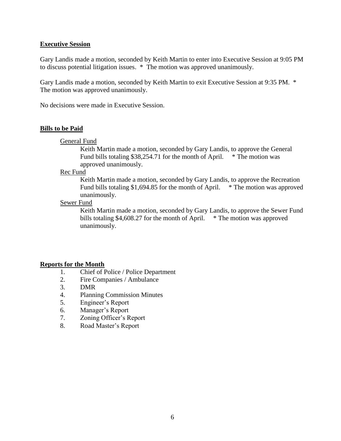#### **Executive Session**

Gary Landis made a motion, seconded by Keith Martin to enter into Executive Session at 9:05 PM to discuss potential litigation issues. \* The motion was approved unanimously.

Gary Landis made a motion, seconded by Keith Martin to exit Executive Session at 9:35 PM. \* The motion was approved unanimously.

No decisions were made in Executive Session.

#### **Bills to be Paid**

General Fund

Keith Martin made a motion, seconded by Gary Landis, to approve the General Fund bills totaling  $$38,254.71$  for the month of April.  $*$  The motion was approved unanimously.

Rec Fund

Keith Martin made a motion, seconded by Gary Landis, to approve the Recreation Fund bills totaling \$1,694.85 for the month of April. \* The motion was approved unanimously.

# Sewer Fund

Keith Martin made a motion, seconded by Gary Landis, to approve the Sewer Fund bills totaling \$4,608.27 for the month of April.  $*$  The motion was approved unanimously.

#### **Reports for the Month**

- 1. Chief of Police / Police Department
- 2. Fire Companies / Ambulance
- 3. DMR
- 4. Planning Commission Minutes
- 5. Engineer's Report
- 6. Manager's Report
- 7. Zoning Officer's Report
- 8. Road Master's Report